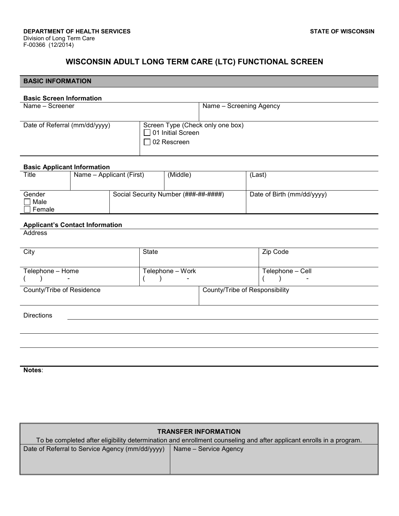٦

# **WISCONSIN ADULT LONG TERM CARE (LTC) FUNCTIONAL SCREEN**

| <b>BASIC INFORMATION</b>               |                                 |  |                                               |                                                              |                                |                               |                            |
|----------------------------------------|---------------------------------|--|-----------------------------------------------|--------------------------------------------------------------|--------------------------------|-------------------------------|----------------------------|
|                                        | <b>Basic Screen Information</b> |  |                                               |                                                              |                                |                               |                            |
| Name - Screener                        |                                 |  |                                               | Name - Screening Agency                                      |                                |                               |                            |
| Date of Referral (mm/dd/yyyy)          |                                 |  |                                               |                                                              |                                |                               |                            |
|                                        |                                 |  |                                               | Screen Type (Check only one box)<br>$\Box$ 01 Initial Screen |                                |                               |                            |
|                                        |                                 |  |                                               | $\Box$ 02 Rescreen                                           |                                |                               |                            |
| <b>Basic Applicant Information</b>     |                                 |  |                                               |                                                              |                                |                               |                            |
| <b>Title</b>                           | Name - Applicant (First)        |  |                                               | (Middle)                                                     |                                | (Last)                        |                            |
| Gender                                 |                                 |  |                                               | Social Security Number (###-##-#####)                        |                                |                               | Date of Birth (mm/dd/yyyy) |
| Male                                   |                                 |  |                                               |                                                              |                                |                               |                            |
| $\Box$ Female                          |                                 |  |                                               |                                                              |                                |                               |                            |
| <b>Applicant's Contact Information</b> |                                 |  |                                               |                                                              |                                |                               |                            |
| <b>Address</b>                         |                                 |  |                                               |                                                              |                                |                               |                            |
| City                                   |                                 |  | <b>State</b>                                  |                                                              |                                | Zip Code                      |                            |
|                                        |                                 |  |                                               |                                                              |                                |                               |                            |
| Telephone - Home<br>$\rightarrow$      |                                 |  | Telephone - Work<br>$\rightarrow$<br>$\left($ |                                                              |                                | Telephone - Cell<br>$\lambda$ |                            |
| County/Tribe of Residence              |                                 |  |                                               |                                                              | County/Tribe of Responsibility |                               |                            |
|                                        |                                 |  |                                               |                                                              |                                |                               |                            |
| <b>Directions</b>                      |                                 |  |                                               |                                                              |                                |                               |                            |
|                                        |                                 |  |                                               |                                                              |                                |                               |                            |
|                                        |                                 |  |                                               |                                                              |                                |                               |                            |
|                                        |                                 |  |                                               |                                                              |                                |                               |                            |
|                                        |                                 |  |                                               |                                                              |                                |                               |                            |
| Notes:                                 |                                 |  |                                               |                                                              |                                |                               |                            |

| <b>TRANSFER INFORMATION</b><br>To be completed after eligibility determination and enrollment counseling and after applicant enrolls in a program. |  |  |  |  |
|----------------------------------------------------------------------------------------------------------------------------------------------------|--|--|--|--|
| Date of Referral to Service Agency (mm/dd/yyyy)<br>Name - Service Agency                                                                           |  |  |  |  |
|                                                                                                                                                    |  |  |  |  |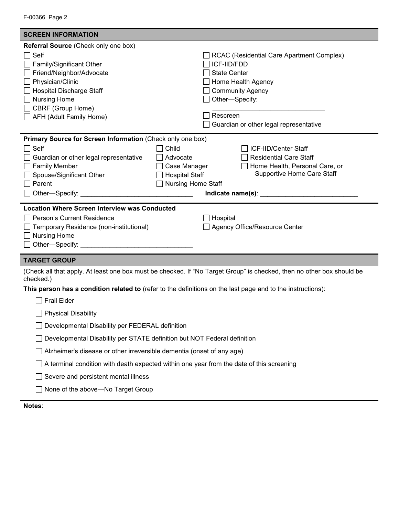| F-00366 Page 2 |  |  |
|----------------|--|--|
|----------------|--|--|

| <b>SCREEN INFORMATION</b>                                                                                                                            |                                                                                                                       |
|------------------------------------------------------------------------------------------------------------------------------------------------------|-----------------------------------------------------------------------------------------------------------------------|
| Referral Source (Check only one box)                                                                                                                 |                                                                                                                       |
| Self                                                                                                                                                 | RCAC (Residential Care Apartment Complex)                                                                             |
| Family/Significant Other                                                                                                                             | ICF-IID/FDD                                                                                                           |
| Friend/Neighbor/Advocate                                                                                                                             | <b>State Center</b>                                                                                                   |
| Physician/Clinic                                                                                                                                     | Home Health Agency                                                                                                    |
| <b>Hospital Discharge Staff</b>                                                                                                                      | <b>Community Agency</b>                                                                                               |
| <b>Nursing Home</b>                                                                                                                                  | Other-Specify:                                                                                                        |
| CBRF (Group Home)                                                                                                                                    | Rescreen                                                                                                              |
| AFH (Adult Family Home)                                                                                                                              |                                                                                                                       |
|                                                                                                                                                      | Guardian or other legal representative                                                                                |
| Primary Source for Screen Information (Check only one box)                                                                                           |                                                                                                                       |
| Self                                                                                                                                                 | Child<br>ICF-IID/Center Staff                                                                                         |
| Guardian or other legal representative                                                                                                               | <b>Residential Care Staff</b><br>Advocate                                                                             |
| <b>Family Member</b>                                                                                                                                 | Case Manager<br>Home Health, Personal Care, or                                                                        |
| Spouse/Significant Other                                                                                                                             | <b>Supportive Home Care Staff</b><br>$\Box$ Hospital Staff                                                            |
| Parent                                                                                                                                               | □ Nursing Home Staff                                                                                                  |
|                                                                                                                                                      |                                                                                                                       |
| <b>Location Where Screen Interview was Conducted</b><br>Person's Current Residence<br>Temporary Residence (non-institutional)<br><b>Nursing Home</b> | ∃ Hospital<br>Agency Office/Resource Center                                                                           |
| <b>TARGET GROUP</b>                                                                                                                                  |                                                                                                                       |
| checked.)                                                                                                                                            | (Check all that apply. At least one box must be checked. If "No Target Group" is checked, then no other box should be |
|                                                                                                                                                      | This person has a condition related to (refer to the definitions on the last page and to the instructions):           |
| $\Box$ Frail Elder                                                                                                                                   |                                                                                                                       |
| <b>Physical Disability</b>                                                                                                                           |                                                                                                                       |
| Developmental Disability per FEDERAL definition                                                                                                      |                                                                                                                       |
| Developmental Disability per STATE definition but NOT Federal definition                                                                             |                                                                                                                       |
| Alzheimer's disease or other irreversible dementia (onset of any age)                                                                                |                                                                                                                       |
|                                                                                                                                                      | $\Box$ A terminal condition with death expected within one year from the date of this screening                       |
| Severe and persistent mental illness                                                                                                                 |                                                                                                                       |

□ None of the above—No Target Group

**Notes**: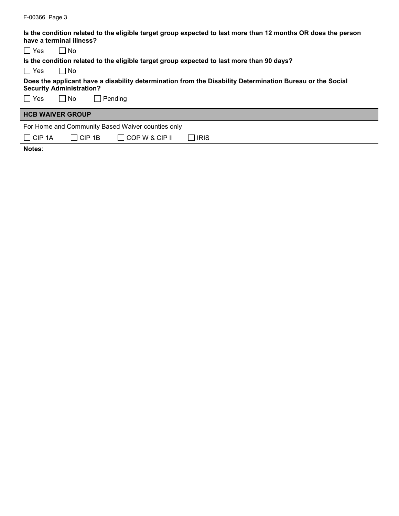| Is the condition related to the eligible target group expected to last more than 12 months OR does the person<br>have a terminal illness?    |
|----------------------------------------------------------------------------------------------------------------------------------------------|
| l I Yes<br>l INo                                                                                                                             |
| Is the condition related to the eligible target group expected to last more than 90 days?                                                    |
| l IYes<br>∣ I No                                                                                                                             |
| Does the applicant have a disability determination from the Disability Determination Bureau or the Social<br><b>Security Administration?</b> |
| l Yes<br>$\Box$ Pending<br>l INo                                                                                                             |
| <b>HCB WAIVER GROUP</b>                                                                                                                      |
| For Home and Community Based Waiver counties only                                                                                            |
| CIP <sub>1A</sub><br>COP W & CIP II<br>IICIP 1B<br><b>IRIS</b>                                                                               |

F-00366 Page 3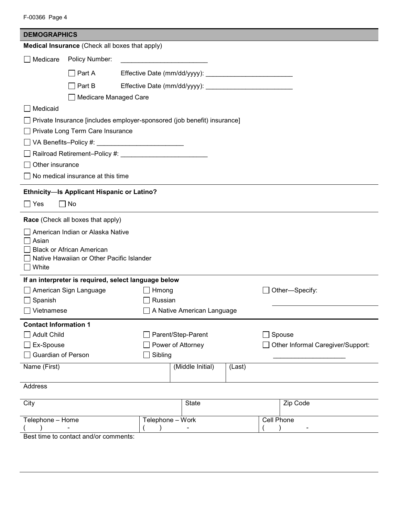| F-00366 Page 4 |  |
|----------------|--|
|                |  |

| <b>DEMOGRAPHICS</b>          |                                                                               |                                                                         |                            |        |            |                                   |
|------------------------------|-------------------------------------------------------------------------------|-------------------------------------------------------------------------|----------------------------|--------|------------|-----------------------------------|
|                              |                                                                               | Medical Insurance (Check all boxes that apply)                          |                            |        |            |                                   |
| Medicare                     | Policy Number:                                                                |                                                                         |                            |        |            |                                   |
|                              | $\Box$ Part A                                                                 |                                                                         |                            |        |            |                                   |
|                              | $\Box$ Part B                                                                 |                                                                         |                            |        |            |                                   |
|                              | Medicare Managed Care                                                         |                                                                         |                            |        |            |                                   |
| Medicaid                     |                                                                               |                                                                         |                            |        |            |                                   |
|                              |                                                                               | Private Insurance [includes employer-sponsored (job benefit) insurance] |                            |        |            |                                   |
|                              | Private Long Term Care Insurance                                              |                                                                         |                            |        |            |                                   |
|                              |                                                                               |                                                                         |                            |        |            |                                   |
|                              |                                                                               |                                                                         |                            |        |            |                                   |
| Other insurance              |                                                                               |                                                                         |                            |        |            |                                   |
|                              | No medical insurance at this time                                             |                                                                         |                            |        |            |                                   |
|                              | Ethnicity-Is Applicant Hispanic or Latino?                                    |                                                                         |                            |        |            |                                   |
| $\Box$ Yes                   | No                                                                            |                                                                         |                            |        |            |                                   |
|                              | Race (Check all boxes that apply)                                             |                                                                         |                            |        |            |                                   |
|                              | American Indian or Alaska Native                                              |                                                                         |                            |        |            |                                   |
| Asian                        |                                                                               |                                                                         |                            |        |            |                                   |
|                              | <b>Black or African American</b><br>Native Hawaiian or Other Pacific Islander |                                                                         |                            |        |            |                                   |
| White                        |                                                                               |                                                                         |                            |        |            |                                   |
|                              |                                                                               | If an interpreter is required, select language below                    |                            |        |            |                                   |
|                              | American Sign Language                                                        | Hmong                                                                   |                            |        |            | Other-Specify:                    |
| Spanish                      |                                                                               | Russian                                                                 |                            |        |            |                                   |
| Vietnamese                   |                                                                               |                                                                         | A Native American Language |        |            |                                   |
| <b>Contact Information 1</b> |                                                                               |                                                                         |                            |        |            |                                   |
| <b>Adult Child</b>           |                                                                               |                                                                         | Parent/Step-Parent         |        |            | Spouse                            |
| Ex-Spouse                    |                                                                               |                                                                         | Power of Attorney          |        |            | Other Informal Caregiver/Support: |
| <b>Guardian of Person</b>    |                                                                               | Sibling                                                                 |                            |        |            |                                   |
| Name (First)                 |                                                                               |                                                                         | (Middle Initial)           | (Last) |            |                                   |
| Address                      |                                                                               |                                                                         |                            |        |            |                                   |
| City                         |                                                                               |                                                                         | <b>State</b>               |        |            | Zip Code                          |
| Telephone - Home             |                                                                               | Telephone - Work                                                        |                            |        | Cell Phone |                                   |
|                              |                                                                               |                                                                         |                            |        |            |                                   |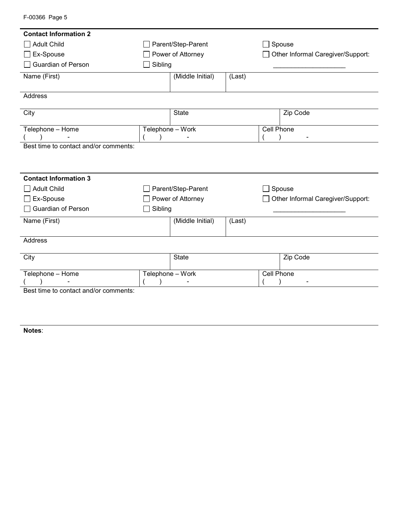| <b>Contact Information 2</b>          |                    |                            |        |        |                                   |  |  |
|---------------------------------------|--------------------|----------------------------|--------|--------|-----------------------------------|--|--|
| <b>Adult Child</b>                    | Parent/Step-Parent |                            |        | $\sim$ | Spouse                            |  |  |
| Ex-Spouse                             |                    | Power of Attorney          |        |        | Other Informal Caregiver/Support: |  |  |
| Guardian of Person                    | Sibling            |                            |        |        |                                   |  |  |
| Name (First)                          |                    | (Middle Initial)<br>(Last) |        |        |                                   |  |  |
|                                       |                    |                            |        |        |                                   |  |  |
| Address                               |                    |                            |        |        |                                   |  |  |
| City                                  |                    | <b>State</b>               |        |        | Zip Code                          |  |  |
|                                       |                    |                            |        |        |                                   |  |  |
| Telephone - Home                      |                    | Telephone - Work           |        |        | Cell Phone                        |  |  |
|                                       |                    |                            |        |        |                                   |  |  |
| Best time to contact and/or comments: |                    |                            |        |        |                                   |  |  |
|                                       |                    |                            |        |        |                                   |  |  |
|                                       |                    |                            |        |        |                                   |  |  |
| <b>Contact Information 3</b>          |                    |                            |        |        |                                   |  |  |
| <b>Adult Child</b>                    |                    | Parent/Step-Parent         |        |        | Spouse                            |  |  |
| Ex-Spouse                             |                    | Power of Attorney          |        |        | Other Informal Caregiver/Support: |  |  |
| Guardian of Person                    | Sibling            |                            |        |        |                                   |  |  |
| Name (First)                          |                    | (Middle Initial)           | (Last) |        |                                   |  |  |
|                                       |                    |                            |        |        |                                   |  |  |
| <b>Address</b>                        |                    |                            |        |        |                                   |  |  |
|                                       |                    |                            |        |        |                                   |  |  |
| City                                  |                    | <b>State</b>               |        |        | Zip Code                          |  |  |
| Telephone - Home                      |                    | Telephone - Work           |        |        | <b>Cell Phone</b>                 |  |  |
|                                       |                    |                            |        |        |                                   |  |  |
| Best time to contact and/or comments: |                    |                            |        |        |                                   |  |  |

F-00366 Page 5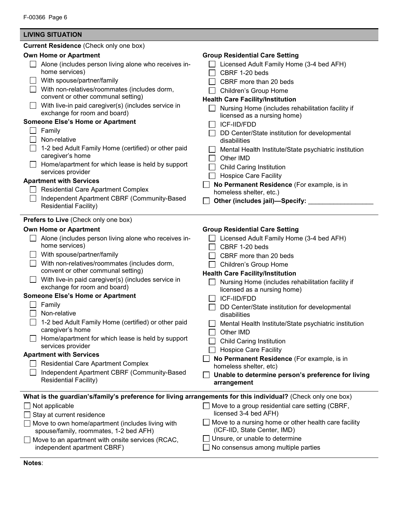| <b>LIVING SITUATION</b>                                                                                                                                                                                                                                                                                                                                                                                                                                                                                                                                                                                                                                                                                                                                  |                                                                                                                                                                                                                                                                                                                                                                                                                                                                                                                                                                                                                                                                    |
|----------------------------------------------------------------------------------------------------------------------------------------------------------------------------------------------------------------------------------------------------------------------------------------------------------------------------------------------------------------------------------------------------------------------------------------------------------------------------------------------------------------------------------------------------------------------------------------------------------------------------------------------------------------------------------------------------------------------------------------------------------|--------------------------------------------------------------------------------------------------------------------------------------------------------------------------------------------------------------------------------------------------------------------------------------------------------------------------------------------------------------------------------------------------------------------------------------------------------------------------------------------------------------------------------------------------------------------------------------------------------------------------------------------------------------------|
| <b>Current Residence (Check only one box)</b>                                                                                                                                                                                                                                                                                                                                                                                                                                                                                                                                                                                                                                                                                                            |                                                                                                                                                                                                                                                                                                                                                                                                                                                                                                                                                                                                                                                                    |
| <b>Own Home or Apartment</b><br>Alone (includes person living alone who receives in-<br>home services)<br>With spouse/partner/family<br>With non-relatives/roommates (includes dorm,<br>convent or other communal setting)<br>With live-in paid caregiver(s) (includes service in<br>exchange for room and board)<br><b>Someone Else's Home or Apartment</b><br>Family<br>Non-relative<br>1-2 bed Adult Family Home (certified) or other paid<br>caregiver's home<br>Home/apartment for which lease is held by support<br>services provider<br><b>Apartment with Services</b><br><b>Residential Care Apartment Complex</b><br>Independent Apartment CBRF (Community-Based<br><b>Residential Facility)</b>                                                | <b>Group Residential Care Setting</b><br>Licensed Adult Family Home (3-4 bed AFH)<br>CBRF 1-20 beds<br>CBRF more than 20 beds<br>Children's Group Home<br><b>Health Care Facility/Institution</b><br>Nursing Home (includes rehabilitation facility if<br>licensed as a nursing home)<br>ICF-IID/FDD<br>DD Center/State institution for developmental<br>disabilities<br>Mental Health Institute/State psychiatric institution<br>Other IMD<br><b>Child Caring Institution</b><br><b>Hospice Care Facility</b><br>No Permanent Residence (For example, is in<br>homeless shelter, etc.)<br>Other (includes jail)-Specify:                                          |
| <b>Prefers to Live (Check only one box)</b><br><b>Own Home or Apartment</b><br>Alone (includes person living alone who receives in-<br>home services)<br>With spouse/partner/family<br>With non-relatives/roommates (includes dorm,<br>convent or other communal setting)<br>With live-in paid caregiver(s) (includes service in<br>exchange for room and board)<br><b>Someone Else's Home or Apartment</b><br>Family<br>Non-relative<br>1-2 bed Adult Family Home (certified) or other paid<br>caregiver's home<br>Home/apartment for which lease is held by support<br>services provider<br><b>Apartment with Services</b><br><b>Residential Care Apartment Complex</b><br>Independent Apartment CBRF (Community-Based<br><b>Residential Facility)</b> | <b>Group Residential Care Setting</b><br>$\Box$ Licensed Adult Family Home (3-4 bed AFH)<br>CBRF 1-20 beds<br>CBRF more than 20 beds<br>Children's Group Home<br><b>Health Care Facility/Institution</b><br>Nursing Home (includes rehabilitation facility if<br>licensed as a nursing home)<br><b>ICF-IID/FDD</b><br>DD Center/State institution for developmental<br>disabilities<br>Mental Health Institute/State psychiatric institution<br>Other IMD<br>Child Caring Institution<br><b>Hospice Care Facility</b><br>No Permanent Residence (For example, is in<br>homeless shelter, etc)<br>Unable to determine person's preference for living<br>arrangement |
| What is the guardian's/family's preference for living arrangements for this individual? (Check only one box)<br>Not applicable<br>Stay at current residence<br>Move to own home/apartment (includes living with<br>spouse/family, roommates, 1-2 bed AFH)<br>Move to an apartment with onsite services (RCAC,<br>independent apartment CBRF)                                                                                                                                                                                                                                                                                                                                                                                                             | Move to a group residential care setting (CBRF,<br>licensed 3-4 bed AFH)<br>Move to a nursing home or other health care facility<br>(ICF-IID, State Center, IMD)<br>Unsure, or unable to determine<br>No consensus among multiple parties                                                                                                                                                                                                                                                                                                                                                                                                                          |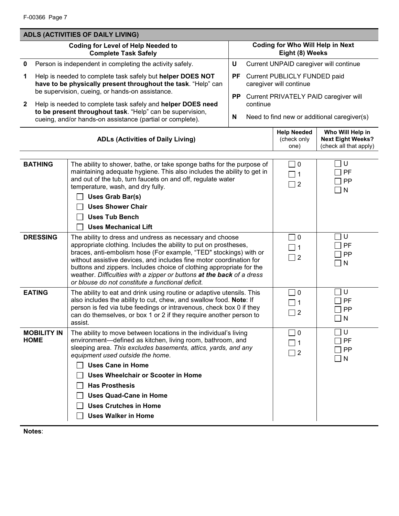| <b>ADLS (ACTIVITIES OF DAILY LIVING)</b> |                                                                                                                                                                                                                                                                                                                                                                                                                                                                                |           |                                                   |                                                                |                                                                        |
|------------------------------------------|--------------------------------------------------------------------------------------------------------------------------------------------------------------------------------------------------------------------------------------------------------------------------------------------------------------------------------------------------------------------------------------------------------------------------------------------------------------------------------|-----------|---------------------------------------------------|----------------------------------------------------------------|------------------------------------------------------------------------|
|                                          | <b>Coding for Level of Help Needed to</b><br><b>Complete Task Safely</b>                                                                                                                                                                                                                                                                                                                                                                                                       |           |                                                   | <b>Coding for Who Will Help in Next</b><br>Eight (8) Weeks     |                                                                        |
| $\mathbf 0$                              | Person is independent in completing the activity safely.                                                                                                                                                                                                                                                                                                                                                                                                                       | U         |                                                   | Current UNPAID caregiver will continue                         |                                                                        |
| 1                                        | Help is needed to complete task safely but helper DOES NOT<br>have to be physically present throughout the task. "Help" can                                                                                                                                                                                                                                                                                                                                                    |           |                                                   | PF Current PUBLICLY FUNDED paid<br>caregiver will continue     |                                                                        |
| $\mathbf{2}$                             | be supervision, cueing, or hands-on assistance.<br>Help is needed to complete task safely and helper DOES need                                                                                                                                                                                                                                                                                                                                                                 | <b>PP</b> | Current PRIVATELY PAID caregiver will<br>continue |                                                                |                                                                        |
|                                          | to be present throughout task. "Help" can be supervision,<br>cueing, and/or hands-on assistance (partial or complete).                                                                                                                                                                                                                                                                                                                                                         | N         | Need to find new or additional caregiver(s)       |                                                                |                                                                        |
|                                          | <b>ADLs (Activities of Daily Living)</b>                                                                                                                                                                                                                                                                                                                                                                                                                                       |           |                                                   | <b>Help Needed</b><br>(check only<br>one)                      | Who Will Help in<br><b>Next Eight Weeks?</b><br>(check all that apply) |
| <b>BATHING</b>                           | The ability to shower, bathe, or take sponge baths for the purpose of<br>maintaining adequate hygiene. This also includes the ability to get in<br>and out of the tub, turn faucets on and off, regulate water<br>temperature, wash, and dry fully.<br>Uses Grab Bar(s)<br><b>Uses Shower Chair</b><br><b>Uses Tub Bench</b><br><b>Uses Mechanical Lift</b>                                                                                                                    |           |                                                   | $\square$ 0<br>$\Box$ 1<br>$\Box$ 2                            | U<br>PF<br>PP<br>$\sqsupset$ N                                         |
| <b>DRESSING</b>                          | The ability to dress and undress as necessary and choose<br>appropriate clothing. Includes the ability to put on prostheses,<br>braces, anti-embolism hose (For example, "TED" stockings) with or<br>without assistive devices, and includes fine motor coordination for<br>buttons and zippers. Includes choice of clothing appropriate for the<br>weather. Difficulties with a zipper or buttons at the back of a dress<br>or blouse do not constitute a functional deficit. |           |                                                   | $\Box$ 0<br>$\Box$ 1<br>$\Box$ 2                               | U<br>PF<br>PP<br>$\sqcap$ N                                            |
| <b>EATING</b>                            | The ability to eat and drink using routine or adaptive utensils. This<br>also includes the ability to cut, chew, and swallow food. Note: If<br>person is fed via tube feedings or intravenous, check box 0 if they<br>can do themselves, or box 1 or 2 if they require another person to<br>assist.                                                                                                                                                                            |           |                                                   | $\Box$ 0<br>$\overline{\phantom{0}}$ 1<br>$\overline{2}$       | U<br>PF<br>PP<br>$\mathsf{N}$                                          |
| <b>MOBILITY IN</b><br><b>HOME</b>        | The ability to move between locations in the individual's living<br>environment-defined as kitchen, living room, bathroom, and<br>sleeping area. This excludes basements, attics, yards, and any<br>equipment used outside the home.<br><b>Uses Cane in Home</b><br>Uses Wheelchair or Scooter in Home<br><b>Has Prosthesis</b><br><b>Uses Quad-Cane in Home</b><br><b>Uses Crutches in Home</b><br><b>Uses Walker in Home</b>                                                 |           |                                                   | $\overline{0}$<br>$\mathbf{I}$<br>$\blacksquare$ 1<br>$\Box$ 2 | U<br>PF<br><b>PP</b><br>$\sqcap$ N                                     |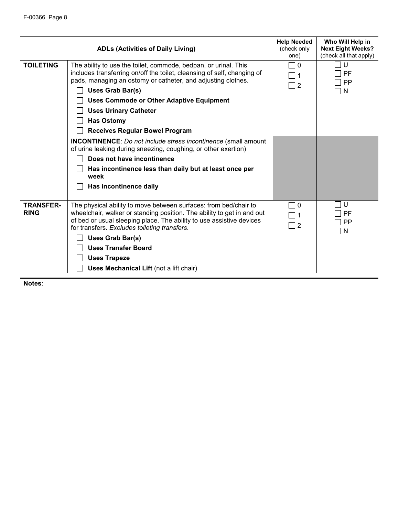|                                 | <b>ADLs (Activities of Daily Living)</b>                                                                                                                                                                                                                                                                                                                                                                                                                                                                                                                                                                                                             | <b>Help Needed</b><br>(check only<br>one) | Who Will Help in<br><b>Next Eight Weeks?</b><br>(check all that apply) |
|---------------------------------|------------------------------------------------------------------------------------------------------------------------------------------------------------------------------------------------------------------------------------------------------------------------------------------------------------------------------------------------------------------------------------------------------------------------------------------------------------------------------------------------------------------------------------------------------------------------------------------------------------------------------------------------------|-------------------------------------------|------------------------------------------------------------------------|
| <b>TOILETING</b>                | The ability to use the toilet, commode, bedpan, or urinal. This<br>includes transferring on/off the toilet, cleansing of self, changing of<br>pads, managing an ostomy or catheter, and adjusting clothes.<br>Uses Grab Bar(s)<br><b>Uses Commode or Other Adaptive Equipment</b><br><b>Uses Urinary Catheter</b><br><b>Has Ostomy</b><br><b>Receives Regular Bowel Program</b><br><b>INCONTINENCE:</b> Do not include stress incontinence (small amount<br>of urine leaking during sneezing, coughing, or other exertion)<br>Does not have incontinence<br>Has incontinence less than daily but at least once per<br>week<br>Has incontinence daily | 0<br>$\Box$ 1<br>$\Box$ 2                 | U<br>PF<br><b>PP</b><br>N                                              |
|                                 |                                                                                                                                                                                                                                                                                                                                                                                                                                                                                                                                                                                                                                                      |                                           |                                                                        |
| <b>TRANSFER-</b><br><b>RING</b> | The physical ability to move between surfaces: from bed/chair to<br>wheelchair, walker or standing position. The ability to get in and out<br>of bed or usual sleeping place. The ability to use assistive devices<br>for transfers. Excludes toileting transfers.<br>Uses Grab Bar(s)<br><b>Uses Transfer Board</b><br><b>Uses Trapeze</b><br>Uses Mechanical Lift (not a lift chair)                                                                                                                                                                                                                                                               | l I 0<br>$\Box$ 1<br>$\Box$ 2             | U<br>PF<br>PP<br>N                                                     |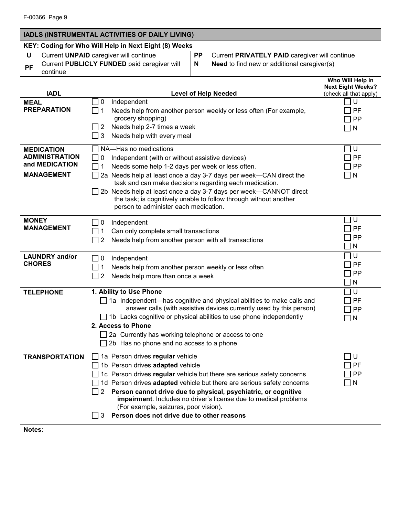# **IADLS (INSTRUMENTAL ACTIVITIES OF DAILY LIVING)**

# **KEY: Coding for Who Will Help in Next Eight (8) Weeks**

**PF** Current **PUBLICLY FUNDED** paid caregiver will continue

**U** Current **UNPAID** caregiver will continue **PP** Current **PRIVATELY PAID** caregiver will continue **N Need** to find new or additional caregiver(s)

|                                                                                   |                                                                                                                                                                                                                                                                                                                                                                                                                                                                                 | Who Will Help in<br><b>Next Eight Weeks?</b> |
|-----------------------------------------------------------------------------------|---------------------------------------------------------------------------------------------------------------------------------------------------------------------------------------------------------------------------------------------------------------------------------------------------------------------------------------------------------------------------------------------------------------------------------------------------------------------------------|----------------------------------------------|
| <b>IADL</b>                                                                       | <b>Level of Help Needed</b>                                                                                                                                                                                                                                                                                                                                                                                                                                                     | (check all that apply)                       |
| <b>MEAL</b><br><b>PREPARATION</b>                                                 | 0<br>Independent<br>$\mathcal{L}$<br>Needs help from another person weekly or less often (For example,<br>l 11<br>grocery shopping)<br>Needs help 2-7 times a week<br>$\overline{2}$<br>3<br>$\mathsf{L}$<br>Needs help with every meal                                                                                                                                                                                                                                         | U<br>PF<br>PP<br>N                           |
| <b>MEDICATION</b><br><b>ADMINISTRATION</b><br>and MEDICATION<br><b>MANAGEMENT</b> | NA-Has no medications<br>Independent (with or without assistive devices)<br>0<br>Needs some help 1-2 days per week or less often.<br>2a Needs help at least once a day 3-7 days per week-CAN direct the<br>task and can make decisions regarding each medication.<br>2b Needs help at least once a day 3-7 days per week-CANNOT direct<br>the task; is cognitively unable to follow through without another<br>person to administer each medication.                            | U<br>PF<br>PP<br>N                           |
| <b>MONEY</b><br><b>MANAGEMENT</b>                                                 | Independent<br>0<br>$\sim$<br>Can only complete small transactions<br>1<br>2<br>Needs help from another person with all transactions<br>$\sim$                                                                                                                                                                                                                                                                                                                                  | U<br>PF<br>PP<br>N                           |
| <b>LAUNDRY</b> and/or<br><b>CHORES</b>                                            | Independent<br>0<br>$\blacksquare$<br>Needs help from another person weekly or less often<br>1<br>2<br>Needs help more than once a week<br>$\mathcal{L}$                                                                                                                                                                                                                                                                                                                        | U<br>PF<br>PP<br>N                           |
| <b>TELEPHONE</b>                                                                  | 1. Ability to Use Phone<br>$\Box$ 1a Independent—has cognitive and physical abilities to make calls and<br>answer calls (with assistive devices currently used by this person)<br>$\Box$ 1b Lacks cognitive or physical abilities to use phone independently<br>2. Access to Phone<br>2a Currently has working telephone or access to one<br>2b Has no phone and no access to a phone                                                                                           | U<br>PF<br>PP<br>N                           |
| <b>TRANSPORTATION</b>                                                             | 1a Person drives regular vehicle<br>1b Person drives adapted vehicle<br>1c Person drives regular vehicle but there are serious safety concerns<br>1d Person drives adapted vehicle but there are serious safety concerns<br>Person cannot drive due to physical, psychiatric, or cognitive<br>2<br>impairment. Includes no driver's license due to medical problems<br>(For example, seizures, poor vision).<br>Person does not drive due to other reasons<br>$\mathbf{I}$<br>3 | U<br>PF<br>PP<br>N                           |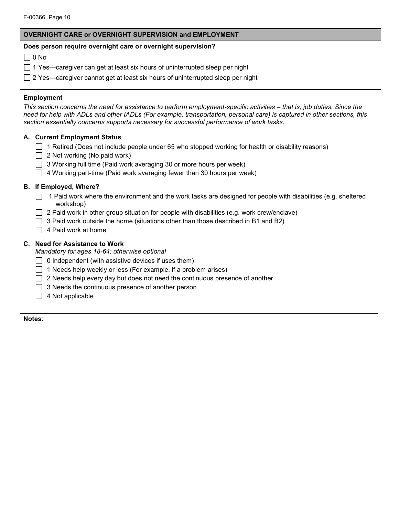# **OVERNIGHT CARE or OVERNIGHT SUPERVISION and EMPLOYMENT**

## **Does person require overnight care or overnight supervision?**

 $\Box$  0 No

- $\Box$  1 Yes—caregiver can get at least six hours of uninterrupted sleep per night
- $\Box$  2 Yes—caregiver cannot get at least six hours of uninterrupted sleep per night

# **Employment**

*This section concerns the need for assistance to perform employment-specific activities – that is, job duties. Since the need for help with ADLs and other IADLs (For example, transportation, personal care) is captured in other sections, this section essentially concerns supports necessary for successful performance of work tasks.*

# **A. Current Employment Status**

- $\Box$  1 Retired (Does not include people under 65 who stopped working for health or disability reasons)
- $\Box$  2 Not working (No paid work)
- $\Box$  3 Working full time (Paid work averaging 30 or more hours per week)
- $\Box$  4 Working part-time (Paid work averaging fewer than 30 hours per week)

# **B. If Employed, Where?**

- 1 Paid work where the environment and the work tasks are designed for people with disabilities (e.g. sheltered workshop)
- 2 Paid work in other group situation for people with disabilities (e.g. work crew/enclave)
- $\Box$  3 Paid work outside the home (situations other than those described in B1 and B2)
- $\Box$  4 Paid work at home

# **C. Need for Assistance to Work**

*Mandatory for ages 18-64; otherwise optional*

- $\Box$  0 Independent (with assistive devices if uses them)
- $\Box$  1 Needs help weekly or less (For example, if a problem arises)
- $\Box$  2 Needs help every day but does not need the continuous presence of another
- $\Box$  3 Needs the continuous presence of another person
- $\Box$  4 Not applicable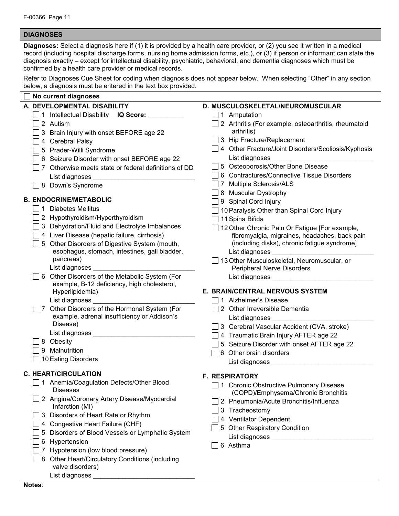# **DIAGNOSES**

**Diagnoses:** Select a diagnosis here if (1) it is provided by a health care provider, or (2) you see it written in a medical record (including hospital discharge forms, nursing home admission forms, etc.), or (3) if person or informant can state the diagnosis exactly – except for intellectual disability, psychiatric, behavioral, and dementia diagnoses which must be confirmed by a health care provider or medical records.

Refer to Diagnoses Cue Sheet for coding when diagnosis does not appear below. When selecting "Other" in any section below, a diagnosis must be entered in the text box provided.

| No current diagnoses                                              |                                                             |
|-------------------------------------------------------------------|-------------------------------------------------------------|
| A. DEVELOPMENTAL DISABILITY                                       | D. MUSCULOSKELETAL/NEUROMUSCULAR                            |
| 1 Intellectual Disability <b>IQ Score:</b>                        | $\Box$ 1 Amputation                                         |
| $\Box$ 2 Autism                                                   | $\Box$ 2 Arthritis (For example, osteoarthritis, rheumatoid |
| 3 Brain Injury with onset BEFORE age 22                           | arthritis)                                                  |
| 4 Cerebral Palsy                                                  | 3 Hip Fracture/Replacement                                  |
| 5 Prader-Willi Syndrome                                           | 4 Other Fracture/Joint Disorders/Scoliosis/Kyphosis         |
| 6 Seizure Disorder with onset BEFORE age 22                       | List diagnoses                                              |
| 7 Otherwise meets state or federal definitions of DD              | 5 Osteoporosis/Other Bone Disease                           |
|                                                                   | 6 Contractures/Connective Tissue Disorders                  |
| □ 8 Down's Syndrome                                               | 7 Multiple Sclerosis/ALS                                    |
|                                                                   | 8 Muscular Dystrophy                                        |
| <b>B. ENDOCRINE/METABOLIC</b>                                     | 9 Spinal Cord Injury                                        |
| 1 Diabetes Mellitus                                               | 10 Paralysis Other than Spinal Cord Injury                  |
| 2 Hypothyroidism/Hyperthyroidism                                  | 11 Spina Bifida                                             |
| 3 Dehydration/Fluid and Electrolyte Imbalances                    | 12 Other Chronic Pain Or Fatigue [For example,              |
| 4 Liver Disease (hepatic failure, cirrhosis)                      | fibromyalgia, migraines, headaches, back pain               |
| 5 Other Disorders of Digestive System (mouth,                     | (including disks), chronic fatigue syndrome]                |
| esophagus, stomach, intestines, gall bladder,                     | List diagnoses ______________________                       |
| pancreas)                                                         | 13 Other Musculoskeletal, Neuromuscular, or                 |
| List diagnoses ____________                                       | Peripheral Nerve Disorders                                  |
| 6 Other Disorders of the Metabolic System (For                    | List diagnoses _________                                    |
| example, B-12 deficiency, high cholesterol,                       | E. BRAIN/CENTRAL NERVOUS SYSTEM                             |
| Hyperlipidemia)                                                   | 1 Alzheimer's Disease                                       |
| List diagnoses _<br>7 Other Disorders of the Hormonal System (For | 2 Other Irreversible Dementia                               |
| example, adrenal insufficiency or Addison's                       | List diagnoses ___________                                  |
| Disease)                                                          | 3 Cerebral Vascular Accident (CVA, stroke)                  |
|                                                                   | 4 Traumatic Brain Injury AFTER age 22                       |
| $\Box$ 8 Obesity                                                  | 5 Seizure Disorder with onset AFTER age 22                  |
| 9 Malnutrition                                                    | 6 Other brain disorders                                     |
| 10 Eating Disorders                                               | List diagnoses ________________                             |
|                                                                   |                                                             |
| <b>C. HEART/CIRCULATION</b>                                       | <b>F. RESPIRATORY</b>                                       |
| 1 Anemia/Coagulation Defects/Other Blood                          | □ 1 Chronic Obstructive Pulmonary Disease                   |
| <b>Diseases</b>                                                   | (COPD)/Emphysema/Chronic Bronchitis                         |
| 2 Angina/Coronary Artery Disease/Myocardial<br>Infarction (MI)    | 2 Pneumonia/Acute Bronchitis/Influenza                      |
| 3 Disorders of Heart Rate or Rhythm                               | 3 Tracheostomy                                              |
| 4 Congestive Heart Failure (CHF)                                  | 4 Ventilator Dependent                                      |
| 5 Disorders of Blood Vessels or Lymphatic System                  | 5 Other Respiratory Condition                               |
| Hypertension<br>6                                                 |                                                             |
| Hypotension (low blood pressure)                                  | 6 Asthma                                                    |
| 8 Other Heart/Circulatory Conditions (including                   |                                                             |
| valve disorders)                                                  |                                                             |
| List diagnoses                                                    |                                                             |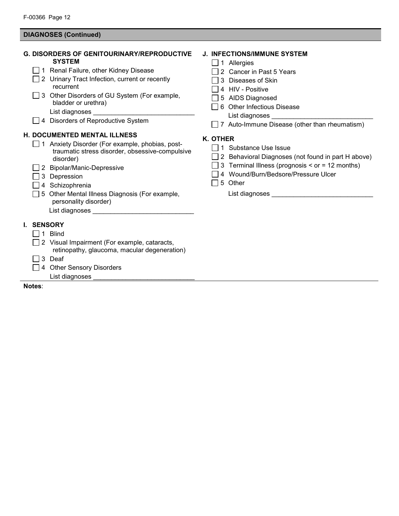# **DIAGNOSES (Continued)**

|            | <b>G. DISORDERS OF GENITOURINARY/REPRODUCTIVE</b><br><b>SYSTEM</b><br>1 Renal Failure, other Kidney Disease<br>2 Urinary Tract Infection, current or recently<br>recurrent<br>3 Other Disorders of GU System (For example,<br>bladder or urethra)<br>4 Disorders of Reproductive System                                                                 | <b>J. INFECTIONS/IMMUNE SYSTEM</b><br>1 Allergies<br>2 Cancer in Past 5 Years<br>3 Diseases of Skin<br>4 HIV - Positive<br>5 AIDS Diagnosed<br>6 Other Infectious Disease<br>$\Box$ 7 Auto-Immune Disease (other than rheumatism) |
|------------|---------------------------------------------------------------------------------------------------------------------------------------------------------------------------------------------------------------------------------------------------------------------------------------------------------------------------------------------------------|-----------------------------------------------------------------------------------------------------------------------------------------------------------------------------------------------------------------------------------|
|            | <b>H. DOCUMENTED MENTAL ILLNESS</b><br>1 Anxiety Disorder (For example, phobias, post-<br>traumatic stress disorder, obsessive-compulsive<br>disorder)<br>2 Bipolar/Manic-Depressive<br>3 Depression<br>4 Schizophrenia<br>5 Other Mental Illness Diagnosis (For example,<br>personality disorder)<br>List diagnoses __________________________________ | K. OTHER<br>1 Substance Use Issue<br>2 Behavioral Diagnoses (not found in part H above)<br>3 Terminal Illness (prognosis < or = 12 months)<br>4 Wound/Burn/Bedsore/Pressure Ulcer<br>5 Other<br>$\blacksquare$                    |
| I. SENSORY | 1 Blind<br>2 Visual Impairment (For example, cataracts,<br>retinopathy, glaucoma, macular degeneration)<br>3 Deaf<br>4 Other Sensory Disorders<br>List diagnoses _                                                                                                                                                                                      |                                                                                                                                                                                                                                   |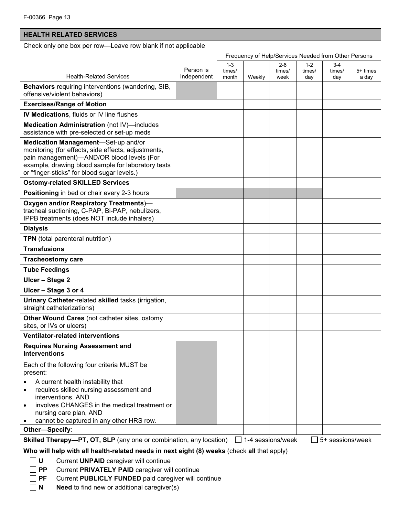# **HEALTH RELATED SERVICES**

Check only one box per row—Leave row blank if not applicable

|                                                                                                                                                                                                                                              |                          | Frequency of Help/Services Needed from Other Persons |        |                   |                   |                  |          |
|----------------------------------------------------------------------------------------------------------------------------------------------------------------------------------------------------------------------------------------------|--------------------------|------------------------------------------------------|--------|-------------------|-------------------|------------------|----------|
| <b>Health-Related Services</b>                                                                                                                                                                                                               | Person is<br>Independent | $1 - 3$<br>times/                                    |        | $2-6$<br>times/   | $1 - 2$<br>times/ | 3-4<br>times/    | 5+ times |
|                                                                                                                                                                                                                                              |                          | month                                                | Weekly | week              | day               | day              | a day    |
| <b>Behaviors</b> requiring interventions (wandering, SIB,<br>offensive/violent behaviors)                                                                                                                                                    |                          |                                                      |        |                   |                   |                  |          |
| <b>Exercises/Range of Motion</b>                                                                                                                                                                                                             |                          |                                                      |        |                   |                   |                  |          |
| <b>IV Medications, fluids or IV line flushes</b>                                                                                                                                                                                             |                          |                                                      |        |                   |                   |                  |          |
| Medication Administration (not IV)-includes<br>assistance with pre-selected or set-up meds                                                                                                                                                   |                          |                                                      |        |                   |                   |                  |          |
| Medication Management-Set-up and/or<br>monitoring (for effects, side effects, adjustments,<br>pain management)-AND/OR blood levels (For<br>example, drawing blood sample for laboratory tests<br>or "finger-sticks" for blood sugar levels.) |                          |                                                      |        |                   |                   |                  |          |
| <b>Ostomy-related SKILLED Services</b>                                                                                                                                                                                                       |                          |                                                      |        |                   |                   |                  |          |
| Positioning in bed or chair every 2-3 hours                                                                                                                                                                                                  |                          |                                                      |        |                   |                   |                  |          |
| Oxygen and/or Respiratory Treatments)-<br>tracheal suctioning, C-PAP, Bi-PAP, nebulizers,<br>IPPB treatments (does NOT include inhalers)                                                                                                     |                          |                                                      |        |                   |                   |                  |          |
| <b>Dialysis</b>                                                                                                                                                                                                                              |                          |                                                      |        |                   |                   |                  |          |
| TPN (total parenteral nutrition)                                                                                                                                                                                                             |                          |                                                      |        |                   |                   |                  |          |
| <b>Transfusions</b>                                                                                                                                                                                                                          |                          |                                                      |        |                   |                   |                  |          |
| <b>Tracheostomy care</b>                                                                                                                                                                                                                     |                          |                                                      |        |                   |                   |                  |          |
| <b>Tube Feedings</b>                                                                                                                                                                                                                         |                          |                                                      |        |                   |                   |                  |          |
| Ulcer - Stage 2                                                                                                                                                                                                                              |                          |                                                      |        |                   |                   |                  |          |
| Ulcer - Stage 3 or 4                                                                                                                                                                                                                         |                          |                                                      |        |                   |                   |                  |          |
| Urinary Catheter-related skilled tasks (irrigation,<br>straight catheterizations)                                                                                                                                                            |                          |                                                      |        |                   |                   |                  |          |
| Other Wound Cares (not catheter sites, ostomy<br>sites, or IVs or ulcers)                                                                                                                                                                    |                          |                                                      |        |                   |                   |                  |          |
| <b>Ventilator-related interventions</b>                                                                                                                                                                                                      |                          |                                                      |        |                   |                   |                  |          |
| <b>Requires Nursing Assessment and</b><br><b>Interventions</b>                                                                                                                                                                               |                          |                                                      |        |                   |                   |                  |          |
| Each of the following four criteria MUST be<br>present:                                                                                                                                                                                      |                          |                                                      |        |                   |                   |                  |          |
| A current health instability that<br>requires skilled nursing assessment and<br>interventions, AND                                                                                                                                           |                          |                                                      |        |                   |                   |                  |          |
| involves CHANGES in the medical treatment or<br>nursing care plan, AND                                                                                                                                                                       |                          |                                                      |        |                   |                   |                  |          |
| cannot be captured in any other HRS row.                                                                                                                                                                                                     |                          |                                                      |        |                   |                   |                  |          |
| Other-Specify:                                                                                                                                                                                                                               |                          |                                                      |        |                   |                   |                  |          |
| Skilled Therapy-PT, OT, SLP (any one or combination, any location)                                                                                                                                                                           |                          |                                                      |        | 1-4 sessions/week |                   | 5+ sessions/week |          |
| Who will help with all health-related needs in next eight (8) weeks (check all that apply)<br>U<br>Current UNPAID caregiver will continue<br><b>PP</b><br>Current PRIVATELY PAID caregiver will continue                                     |                          |                                                      |        |                   |                   |                  |          |

- **PF** Current **PUBLICLY FUNDED** paid caregiver will continue
- **N Need** to find new or additional caregiver(s)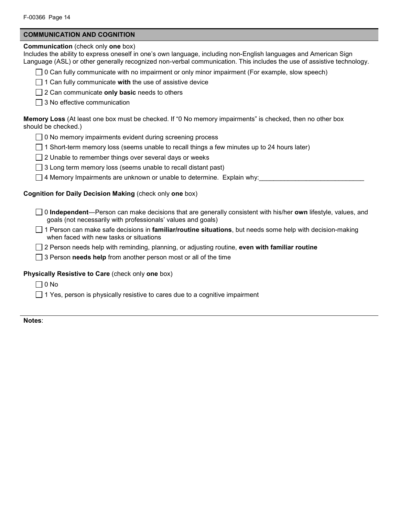### **COMMUNICATION AND COGNITION**

#### **Communication** (check only **one** box)

Includes the ability to express oneself in one's own language, including non-English languages and American Sign Language (ASL) or other generally recognized non-verbal communication. This includes the use of assistive technology.

- $\Box$  0 Can fully communicate with no impairment or only minor impairment (For example, slow speech)
- 1 Can fully communicate **with** the use of assistive device

2 Can communicate **only basic** needs to others

 $\Box$  3 No effective communication

**Memory Loss** (At least one box must be checked. If "0 No memory impairments" is checked, then no other box should be checked.)

- $\Box$  0 No memory impairments evident during screening process
- $\Box$  1 Short-term memory loss (seems unable to recall things a few minutes up to 24 hours later)
- $\Box$  2 Unable to remember things over several days or weeks
- $\Box$  3 Long term memory loss (seems unable to recall distant past)
- $\Box$  4 Memory Impairments are unknown or unable to determine. Explain why:

# **Cognition for Daily Decision Making** (check only **one** box)

- 0 **Independent**—Person can make decisions that are generally consistent with his/her **own** lifestyle, values, and goals (not necessarily with professionals' values and goals)
- 1 Person can make safe decisions in **familiar/routine situations**, but needs some help with decision-making when faced with new tasks or situations
- 2 Person needs help with reminding, planning, or adjusting routine, **even with familiar routine**
- 3 Person **needs help** from another person most or all of the time

### **Physically Resistive to Care** (check only **one** box)

 $\Box$  0 No

 $\Box$  1 Yes, person is physically resistive to cares due to a cognitive impairment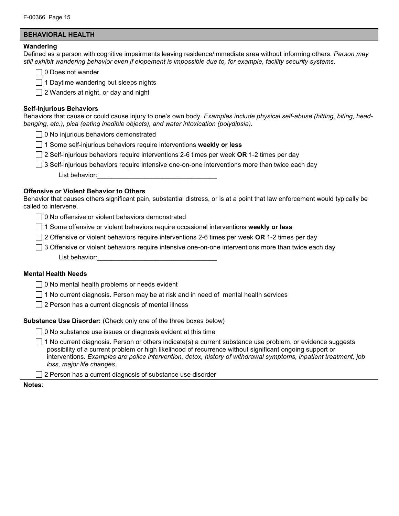## **BEHAVIORAL HEALTH**

#### **Wandering**

Defined as a person with cognitive impairments leaving residence/immediate area without informing others. *Person may still exhibit wandering behavior even if elopement is impossible due to, for example, facility security systems.*

 $\Box$  0 Does not wander

 $\Box$  1 Daytime wandering but sleeps nights

 $\Box$  2 Wanders at night, or day and night

#### **Self-Injurious Behaviors**

Behaviors that cause or could cause injury to one's own body. *Examples include physical self-abuse (hitting, biting, headbanging, etc.), pica (eating inedible objects), and water intoxication (polydipsia).*

- $\Box$  0 No injurious behaviors demonstrated
- 1 Some self-injurious behaviors require interventions **weekly or less**
- 2 Self-injurious behaviors require interventions 2-6 times per week **OR** 1-2 times per day
- $\Box$  3 Self-injurious behaviors require intensive one-on-one interventions more than twice each day List behavior:

#### **Offensive or Violent Behavior to Others**

Behavior that causes others significant pain, substantial distress, or is at a point that law enforcement would typically be called to intervene.

- 0 No offensive or violent behaviors demonstrated
- 1 Some offensive or violent behaviors require occasional interventions **weekly or less**
- 2 Offensive or violent behaviors require interventions 2-6 times per week **OR** 1-2 times per day
- $\Box$  3 Offensive or violent behaviors require intensive one-on-one interventions more than twice each day List behavior:

#### **Mental Health Needs**

- $\Box$  0 No mental health problems or needs evident
- $\Box$  1 No current diagnosis. Person may be at risk and in need of mental health services
- $\Box$  2 Person has a current diagnosis of mental illness

#### **Substance Use Disorder:** (Check only one of the three boxes below)

- $\Box$  0 No substance use issues or diagnosis evident at this time
- $\Box$  1 No current diagnosis. Person or others indicate(s) a current substance use problem, or evidence suggests possibility of a current problem or high likelihood of recurrence without significant ongoing support or interventions. *Examples are police intervention, detox, history of withdrawal symptoms, inpatient treatment, job loss, major life changes.*
- $\Box$  2 Person has a current diagnosis of substance use disorder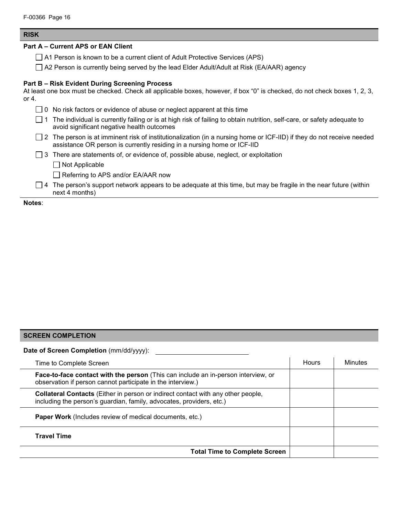#### **RISK**

#### **Part A – Current APS or EAN Client**

- □ A1 Person is known to be a current client of Adult Protective Services (APS)
- A2 Person is currently being served by the lead Elder Adult/Adult at Risk (EA/AAR) agency

# **Part B – Risk Evident During Screening Process**

At least one box must be checked. Check all applicable boxes, however, if box "0" is checked, do not check boxes 1, 2, 3, or 4.

|  | 0 No risk factors or evidence of abuse or neglect apparent at this time                                                                                                                                 |
|--|---------------------------------------------------------------------------------------------------------------------------------------------------------------------------------------------------------|
|  | The individual is currently failing or is at high risk of failing to obtain nutrition, self-care, or safety adequate to<br>avoid significant negative health outcomes                                   |
|  | $\Box$ 2 The person is at imminent risk of institutionalization (in a nursing home or ICF-IID) if they do not receive needed<br>assistance OR person is currently residing in a nursing home or ICF-IID |
|  | $\Box$ 3 There are statements of, or evidence of, possible abuse, neglect, or exploitation                                                                                                              |
|  | $\Box$ Not Applicable                                                                                                                                                                                   |
|  | $\Box$ Referring to APS and/or EA/AAR now                                                                                                                                                               |
|  | $\Box$ 4 The person's support network appears to be adequate at this time, but may be fragile in the near future (within<br>next 4 months)                                                              |

**Notes**:

#### **SCREEN COMPLETION**

**Date of Screen Completion** (mm/dd/yyyy):

| Hours | Minutes |
|-------|---------|
|       |         |
|       |         |
|       |         |
|       |         |
|       |         |
|       |         |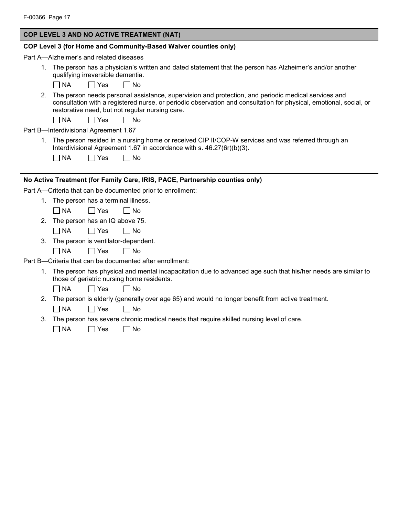## **COP LEVEL 3 AND NO ACTIVE TREATMENT (NAT)**

### **COP Level 3 (for Home and Community-Based Waiver counties only)**

Part A—Alzheimer's and related diseases

1. The person has a physician's written and dated statement that the person has Alzheimer's and/or another qualifying irreversible dementia.

 $\Box$  NA  $\Box$  Yes  $\Box$  No

2. The person needs personal assistance, supervision and protection, and periodic medical services and consultation with a registered nurse, or periodic observation and consultation for physical, emotional, social, or restorative need, but not regular nursing care.

 $\Box$  NA  $\Box$  Yes  $\Box$  No

Part B—Interdivisional Agreement 1.67

1. The person resided in a nursing home or received CIP II/COP-W services and was referred through an Interdivisional Agreement 1.67 in accordance with s. 46.27(6r)(b)(3).

| $\Box$ NA | $\Box$ Yes | $\Box$ No |
|-----------|------------|-----------|
|-----------|------------|-----------|

# **No Active Treatment (for Family Care, IRIS, PACE, Partnership counties only)**

Part A—Criteria that can be documented prior to enrollment:

1. The person has a terminal illness.

 $\neg$  NA  $\neg$  Yes  $\neg$  No

2. The person has an IQ above 75.

 $\neg$  NA  $\neg$  Yes  $\neg$  No

- 3. The person is ventilator-dependent.
	- $\neg$  NA  $\neg$  Yes  $\neg$  No

Part B—Criteria that can be documented after enrollment:

1. The person has physical and mental incapacitation due to advanced age such that his/her needs are similar to those of geriatric nursing home residents.

 $\neg$  NA  $\neg$  Yes  $\neg$  No

- 2. The person is elderly (generally over age 65) and would no longer benefit from active treatment.  $\Box$ NA  $\Box$ Yes  $\Box$ No
- 3. The person has severe chronic medical needs that require skilled nursing level of care.

| $\Box$ NA | $\Box$ Yes | $\Box$ No |
|-----------|------------|-----------|
|-----------|------------|-----------|